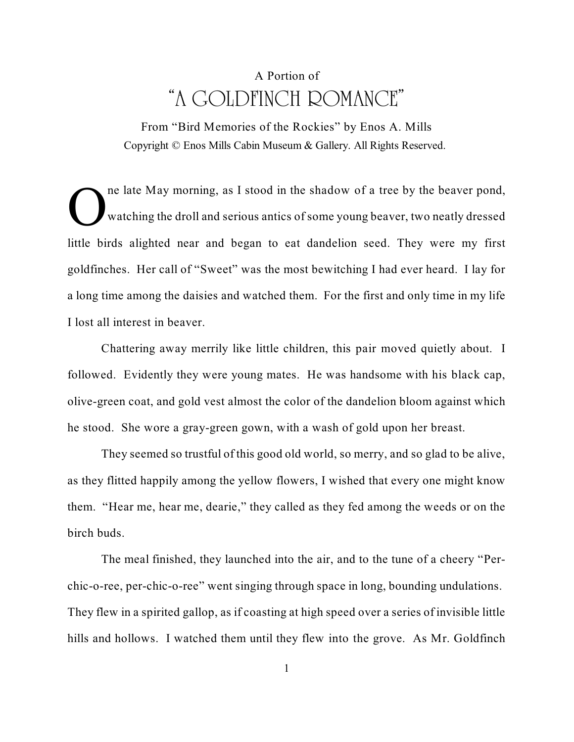## A Portion of "A GOLDFINCH ROMANCE"

From "Bird Memories of the Rockies" by Enos A. Mills Copyright © Enos Mills Cabin Museum & Gallery. All Rights Reserved.

O ne late May morning, as I stood in the shadow of a tree by the beaver pond, watching the droll and serious antics of some young beaver, two neatly dressed little birds alighted near and began to eat dandelion seed. They were my first goldfinches. Her call of "Sweet" was the most bewitching I had ever heard. I lay for a long time among the daisies and watched them. For the first and only time in my life I lost all interest in beaver.

Chattering away merrily like little children, this pair moved quietly about. I followed. Evidently they were young mates. He was handsome with his black cap, olive-green coat, and gold vest almost the color of the dandelion bloom against which he stood. She wore a gray-green gown, with a wash of gold upon her breast.

They seemed so trustful of this good old world, so merry, and so glad to be alive, as they flitted happily among the yellow flowers, I wished that every one might know them. "Hear me, hear me, dearie," they called as they fed among the weeds or on the birch buds.

The meal finished, they launched into the air, and to the tune of a cheery "Perchic-o-ree, per-chic-o-ree" went singing through space in long, bounding undulations. They flew in a spirited gallop, as if coasting at high speed over a series of invisible little hills and hollows. I watched them until they flew into the grove. As Mr. Goldfinch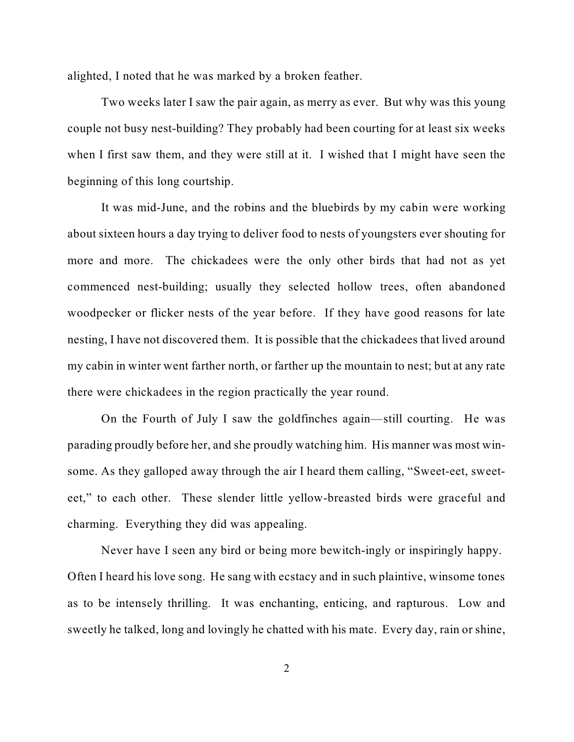alighted, I noted that he was marked by a broken feather.

Two weeks later I saw the pair again, as merry as ever. But why was this young couple not busy nest-building? They probably had been courting for at least six weeks when I first saw them, and they were still at it. I wished that I might have seen the beginning of this long courtship.

It was mid-June, and the robins and the bluebirds by my cabin were working about sixteen hours a day trying to deliver food to nests of youngsters ever shouting for more and more. The chickadees were the only other birds that had not as yet commenced nest-building; usually they selected hollow trees, often abandoned woodpecker or flicker nests of the year before. If they have good reasons for late nesting, I have not discovered them. It is possible that the chickadees that lived around my cabin in winter went farther north, or farther up the mountain to nest; but at any rate there were chickadees in the region practically the year round.

On the Fourth of July I saw the goldfinches again—still courting. He was parading proudly before her, and she proudly watching him. His manner was most winsome. As they galloped away through the air I heard them calling, "Sweet-eet, sweeteet," to each other. These slender little yellow-breasted birds were graceful and charming. Everything they did was appealing.

Never have I seen any bird or being more bewitch-ingly or inspiringly happy. Often I heard his love song. He sang with ecstacy and in such plaintive, winsome tones as to be intensely thrilling. It was enchanting, enticing, and rapturous. Low and sweetly he talked, long and lovingly he chatted with his mate. Every day, rain or shine,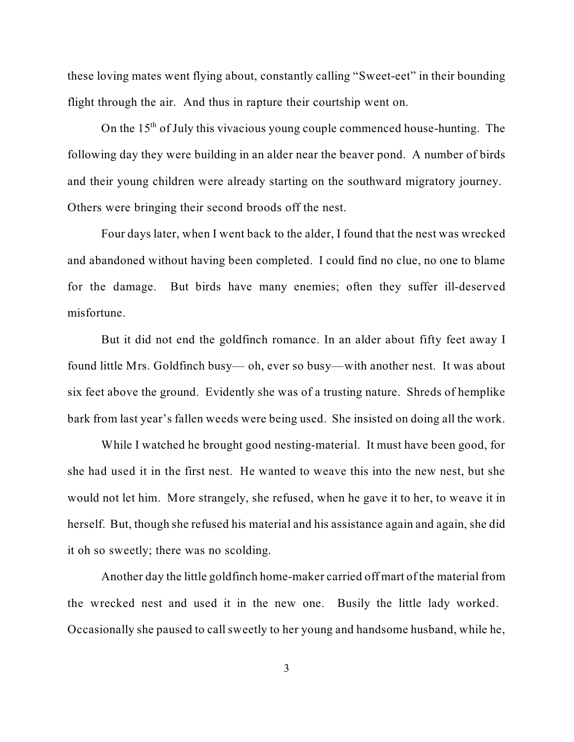these loving mates went flying about, constantly calling "Sweet-eet" in their bounding flight through the air. And thus in rapture their courtship went on.

On the  $15<sup>th</sup>$  of July this vivacious young couple commenced house-hunting. The following day they were building in an alder near the beaver pond. A number of birds and their young children were already starting on the southward migratory journey. Others were bringing their second broods off the nest.

Four days later, when I went back to the alder, I found that the nest was wrecked and abandoned without having been completed. I could find no clue, no one to blame for the damage. But birds have many enemies; often they suffer ill-deserved misfortune.

But it did not end the goldfinch romance. In an alder about fifty feet away I found little Mrs. Goldfinch busy— oh, ever so busy—with another nest. It was about six feet above the ground. Evidently she was of a trusting nature. Shreds of hemplike bark from last year's fallen weeds were being used. She insisted on doing all the work.

While I watched he brought good nesting-material. It must have been good, for she had used it in the first nest. He wanted to weave this into the new nest, but she would not let him. More strangely, she refused, when he gave it to her, to weave it in herself. But, though she refused his material and his assistance again and again, she did it oh so sweetly; there was no scolding.

Another day the little goldfinch home-maker carried off mart of the material from the wrecked nest and used it in the new one. Busily the little lady worked. Occasionally she paused to call sweetly to her young and handsome husband, while he,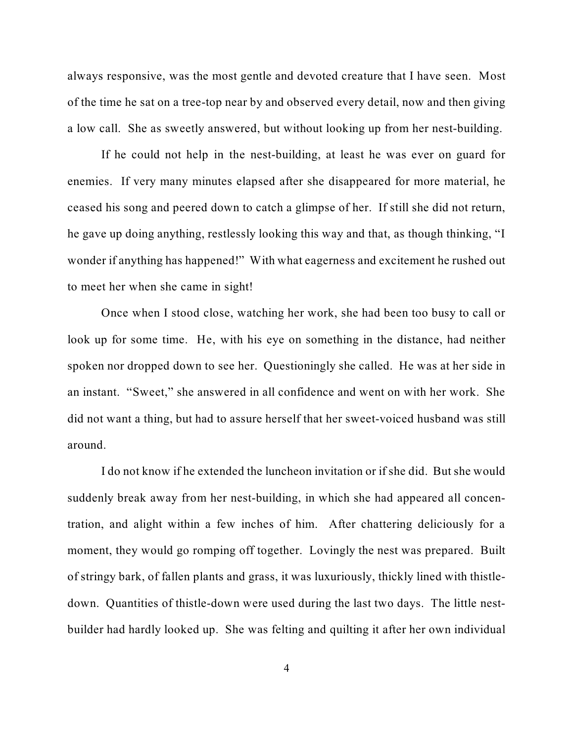always responsive, was the most gentle and devoted creature that I have seen. Most of the time he sat on a tree-top near by and observed every detail, now and then giving a low call. She as sweetly answered, but without looking up from her nest-building.

If he could not help in the nest-building, at least he was ever on guard for enemies. If very many minutes elapsed after she disappeared for more material, he ceased his song and peered down to catch a glimpse of her. If still she did not return, he gave up doing anything, restlessly looking this way and that, as though thinking, "I wonder if anything has happened!" With what eagerness and excitement he rushed out to meet her when she came in sight!

Once when I stood close, watching her work, she had been too busy to call or look up for some time. He, with his eye on something in the distance, had neither spoken nor dropped down to see her. Questioningly she called. He was at her side in an instant. "Sweet," she answered in all confidence and went on with her work. She did not want a thing, but had to assure herself that her sweet-voiced husband was still around.

I do not know if he extended the luncheon invitation or if she did. But she would suddenly break away from her nest-building, in which she had appeared all concentration, and alight within a few inches of him. After chattering deliciously for a moment, they would go romping off together. Lovingly the nest was prepared. Built of stringy bark, of fallen plants and grass, it was luxuriously, thickly lined with thistledown. Quantities of thistle-down were used during the last two days. The little nestbuilder had hardly looked up. She was felting and quilting it after her own individual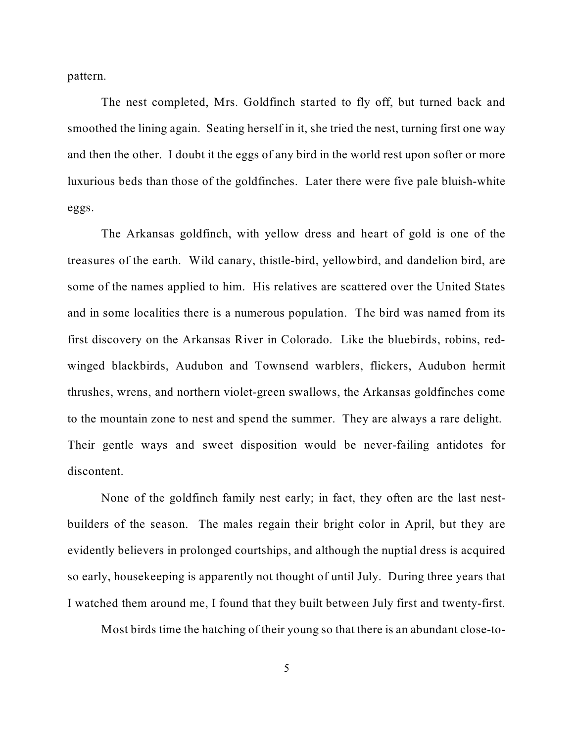pattern.

The nest completed, Mrs. Goldfinch started to fly off, but turned back and smoothed the lining again. Seating herself in it, she tried the nest, turning first one way and then the other. I doubt it the eggs of any bird in the world rest upon softer or more luxurious beds than those of the goldfinches. Later there were five pale bluish-white eggs.

The Arkansas goldfinch, with yellow dress and heart of gold is one of the treasures of the earth. Wild canary, thistle-bird, yellowbird, and dandelion bird, are some of the names applied to him. His relatives are scattered over the United States and in some localities there is a numerous population. The bird was named from its first discovery on the Arkansas River in Colorado. Like the bluebirds, robins, redwinged blackbirds, Audubon and Townsend warblers, flickers, Audubon hermit thrushes, wrens, and northern violet-green swallows, the Arkansas goldfinches come to the mountain zone to nest and spend the summer. They are always a rare delight. Their gentle ways and sweet disposition would be never-failing antidotes for discontent.

None of the goldfinch family nest early; in fact, they often are the last nestbuilders of the season. The males regain their bright color in April, but they are evidently believers in prolonged courtships, and although the nuptial dress is acquired so early, housekeeping is apparently not thought of until July. During three years that I watched them around me, I found that they built between July first and twenty-first.

Most birds time the hatching of their young so that there is an abundant close-to-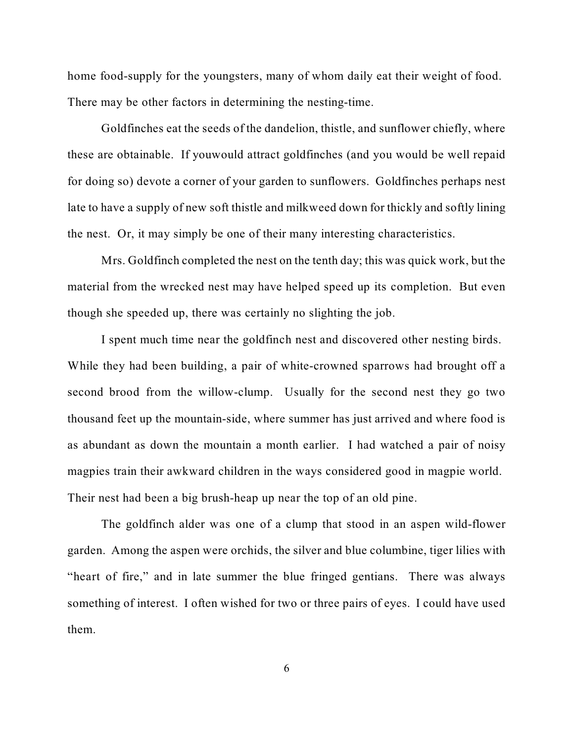home food-supply for the youngsters, many of whom daily eat their weight of food. There may be other factors in determining the nesting-time.

Goldfinches eat the seeds of the dandelion, thistle, and sunflower chiefly, where these are obtainable. If youwould attract goldfinches (and you would be well repaid for doing so) devote a corner of your garden to sunflowers. Goldfinches perhaps nest late to have a supply of new soft thistle and milkweed down for thickly and softly lining the nest. Or, it may simply be one of their many interesting characteristics.

Mrs. Goldfinch completed the nest on the tenth day; this was quick work, but the material from the wrecked nest may have helped speed up its completion. But even though she speeded up, there was certainly no slighting the job.

I spent much time near the goldfinch nest and discovered other nesting birds. While they had been building, a pair of white-crowned sparrows had brought off a second brood from the willow-clump. Usually for the second nest they go two thousand feet up the mountain-side, where summer has just arrived and where food is as abundant as down the mountain a month earlier. I had watched a pair of noisy magpies train their awkward children in the ways considered good in magpie world. Their nest had been a big brush-heap up near the top of an old pine.

The goldfinch alder was one of a clump that stood in an aspen wild-flower garden. Among the aspen were orchids, the silver and blue columbine, tiger lilies with "heart of fire," and in late summer the blue fringed gentians. There was always something of interest. I often wished for two or three pairs of eyes. I could have used them.

6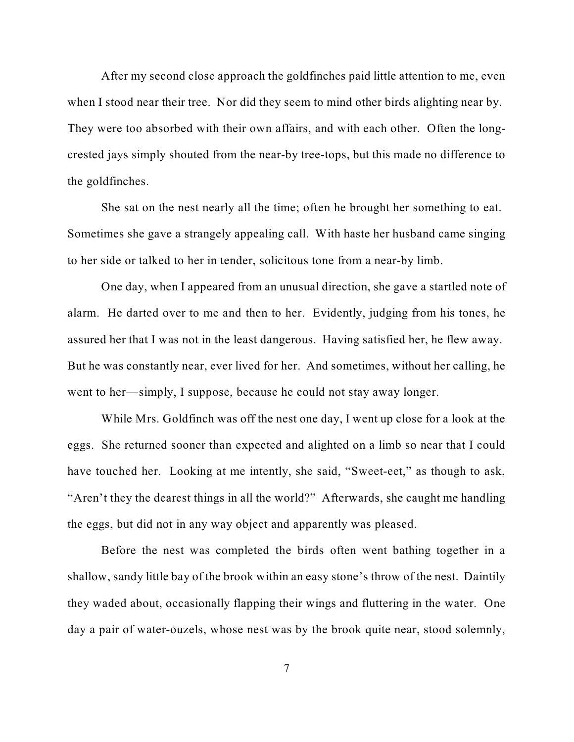After my second close approach the goldfinches paid little attention to me, even when I stood near their tree. Nor did they seem to mind other birds alighting near by. They were too absorbed with their own affairs, and with each other. Often the longcrested jays simply shouted from the near-by tree-tops, but this made no difference to the goldfinches.

She sat on the nest nearly all the time; often he brought her something to eat. Sometimes she gave a strangely appealing call. With haste her husband came singing to her side or talked to her in tender, solicitous tone from a near-by limb.

One day, when I appeared from an unusual direction, she gave a startled note of alarm. He darted over to me and then to her. Evidently, judging from his tones, he assured her that I was not in the least dangerous. Having satisfied her, he flew away. But he was constantly near, ever lived for her. And sometimes, without her calling, he went to her—simply, I suppose, because he could not stay away longer.

While Mrs. Goldfinch was off the nest one day, I went up close for a look at the eggs. She returned sooner than expected and alighted on a limb so near that I could have touched her. Looking at me intently, she said, "Sweet-eet," as though to ask, "Aren't they the dearest things in all the world?" Afterwards, she caught me handling the eggs, but did not in any way object and apparently was pleased.

Before the nest was completed the birds often went bathing together in a shallow, sandy little bay of the brook within an easy stone's throw of the nest. Daintily they waded about, occasionally flapping their wings and fluttering in the water. One day a pair of water-ouzels, whose nest was by the brook quite near, stood solemnly,